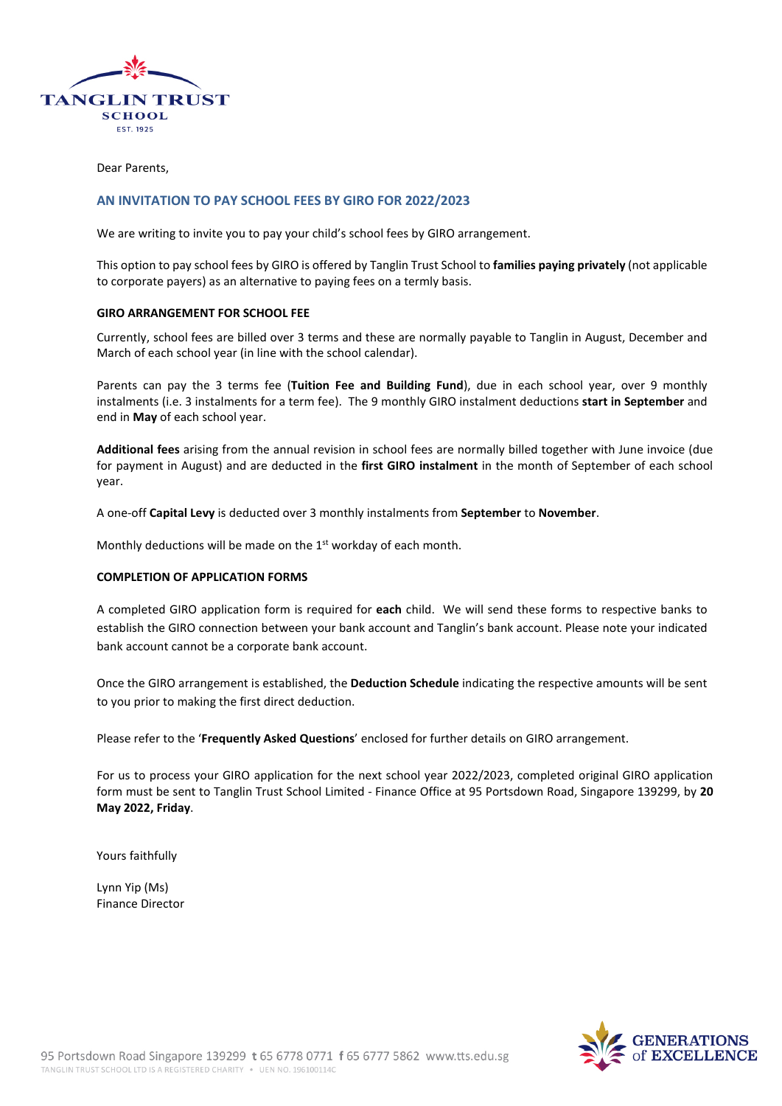

Dear Parents,

#### **AN INVITATION TO PAY SCHOOL FEES BY GIRO FOR 2022/2023**

We are writing to invite you to pay your child's school fees by GIRO arrangement.

This option to pay school fees by GIRO is offered by Tanglin Trust School to **families paying privately** (not applicable to corporate payers) as an alternative to paying fees on a termly basis.

#### **GIRO ARRANGEMENT FOR SCHOOL FEE**

Currently, school fees are billed over 3 terms and these are normally payable to Tanglin in August, December and March of each school year (in line with the school calendar).

Parents can pay the 3 terms fee (**Tuition Fee and Building Fund**), due in each school year, over 9 monthly instalments (i.e. 3 instalments for a term fee). The 9 monthly GIRO instalment deductions **start in September** and end in **May** of each school year.

**Additional fees** arising from the annual revision in school fees are normally billed together with June invoice (due for payment in August) and are deducted in the **first GIRO instalment** in the month of September of each school year.

A one-off **Capital Levy** is deducted over 3 monthly instalments from **September** to **November**.

Monthly deductions will be made on the 1<sup>st</sup> workday of each month.

#### **COMPLETION OF APPLICATION FORMS**

A completed GIRO application form is required for **each** child. We will send these forms to respective banks to establish the GIRO connection between your bank account and Tanglin's bank account. Please note your indicated bank account cannot be a corporate bank account.

Once the GIRO arrangement is established, the **Deduction Schedule** indicating the respective amounts will be sent to you prior to making the first direct deduction.

Please refer to the '**Frequently Asked Questions**' enclosed for further details on GIRO arrangement.

For us to process your GIRO application for the next school year 2022/2023, completed original GIRO application form must be sent to Tanglin Trust School Limited - Finance Office at 95 Portsdown Road, Singapore 139299, by **20 May 2022, Friday**.

Yours faithfully

Lynn Yip (Ms) Finance Director

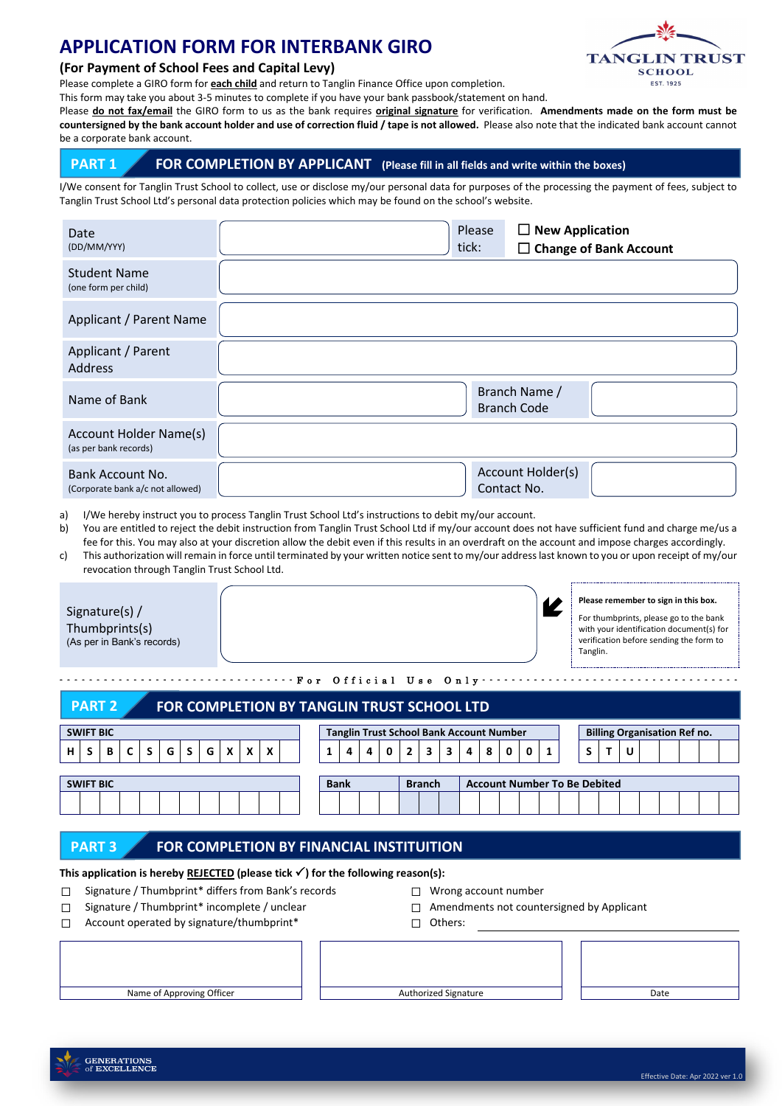# **APPLICATION FORM FOR INTERBANK GIRO**



#### **(For Payment of School Fees and Capital Levy)**

Please complete a GIRO form for **each child** and return to Tanglin Finance Office upon completion.

This form may take you about 3-5 minutes to complete if you have your bank passbook/statement on hand.

Please **do not fax/email** the GIRO form to us as the bank requires **original signature** for verification. **Amendments made on the form must be countersigned by the bank account holder and use of correction fluid / tape is not allowed.** Please also note that the indicated bank account cannot bunt.

|  |  | be a corporate bank accou |  |
|--|--|---------------------------|--|
|  |  |                           |  |

## **PART 1** FOR COMPLETION BY APPLICANT (Please fill in all fields and write within the boxes)

I/We consent for Tanglin Trust School to collect, use or disclose my/our personal data for purposes of the processing the payment of fees, subject to Tanglin Trust School Ltd's personal data protection policies which may be found on the school's website.

| Date<br>(DD/MM/YYY)                                    | $\Box$ New Application<br>Please<br>tick:<br>$\Box$ Change of Bank Account |
|--------------------------------------------------------|----------------------------------------------------------------------------|
| <b>Student Name</b><br>(one form per child)            |                                                                            |
| Applicant / Parent Name                                |                                                                            |
| Applicant / Parent<br><b>Address</b>                   |                                                                            |
| Name of Bank                                           | Branch Name /<br><b>Branch Code</b>                                        |
| <b>Account Holder Name(s)</b><br>(as per bank records) |                                                                            |
| Bank Account No.<br>(Corporate bank a/c not allowed)   | Account Holder(s)<br>Contact No.                                           |

a) I/We hereby instruct you to process Tanglin Trust School Ltd's instructions to debit my/our account.

b) You are entitled to reject the debit instruction from Tanglin Trust School Ltd if my/our account does not have sufficient fund and charge me/us a fee for this. You may also at your discretion allow the debit even if this results in an overdraft on the account and impose charges accordingly.

c) This authorization will remain in force until terminated by your written notice sent to my/our address last known to you or upon receipt of my/our revocation through Tanglin Trust School Ltd.

| Signature(s) $/$<br>Thumbprints(s)<br>(As per in Bank's records)                     |   |    |              |   |    |   |              |   |                  |  |                                                 |   |               |   |                |   |   |   |                                     |              |                                     | Tanglin. |  |   | Please remember to sign in this box.<br>For thumbprints, please go to the bank<br>with your identification document(s) for<br>verification before sending the form to |   |  |  |  |  |  |
|--------------------------------------------------------------------------------------|---|----|--------------|---|----|---|--------------|---|------------------|--|-------------------------------------------------|---|---------------|---|----------------|---|---|---|-------------------------------------|--------------|-------------------------------------|----------|--|---|-----------------------------------------------------------------------------------------------------------------------------------------------------------------------|---|--|--|--|--|--|
| For Official Use Only<br><b>PART 2</b><br>FOR COMPLETION BY TANGLIN TRUST SCHOOL LTD |   |    |              |   |    |   |              |   |                  |  |                                                 |   |               |   |                |   |   |   |                                     |              |                                     |          |  |   |                                                                                                                                                                       |   |  |  |  |  |  |
| <b>SWIFT BIC</b>                                                                     |   |    |              |   |    |   |              |   |                  |  | <b>Tanglin Trust School Bank Account Number</b> |   |               |   |                |   |   |   |                                     |              | <b>Billing Organisation Ref no.</b> |          |  |   |                                                                                                                                                                       |   |  |  |  |  |  |
| s<br>н                                                                               | В | C. | <sub>S</sub> | G | S. | G | $\mathsf{x}$ | X | $\boldsymbol{x}$ |  |                                                 | 4 | 4             | 0 | $\overline{2}$ | 3 | 3 | 4 | 8                                   | $\mathbf{0}$ | 0                                   |          |  | s | т                                                                                                                                                                     | U |  |  |  |  |  |
| <b>SWIFT BIC</b>                                                                     |   |    |              |   |    |   |              |   | <b>Bank</b>      |  |                                                 |   | <b>Branch</b> |   |                |   |   |   | <b>Account Number To Be Debited</b> |              |                                     |          |  |   |                                                                                                                                                                       |   |  |  |  |  |  |

**PART 3 FOR COMPLETION BY FINANCIAL INSTITUITION**

This application is hereby REJECTED (please tick  $\checkmark$ ) for the following reason(s):

- ☐ Signature / Thumbprint\* differs from Bank's records ☐ Wrong account number
- 
- ☐ Account operated by signature/thumbprint\* ☐ Others:
- 
- □ Signature / Thumbprint\* incomplete / unclear □ □ Amendments not countersigned by Applicant
	-

Name of Approving Officer **Authorized Signature** Authorized Signature **Authorized Signature Authorized Signature**